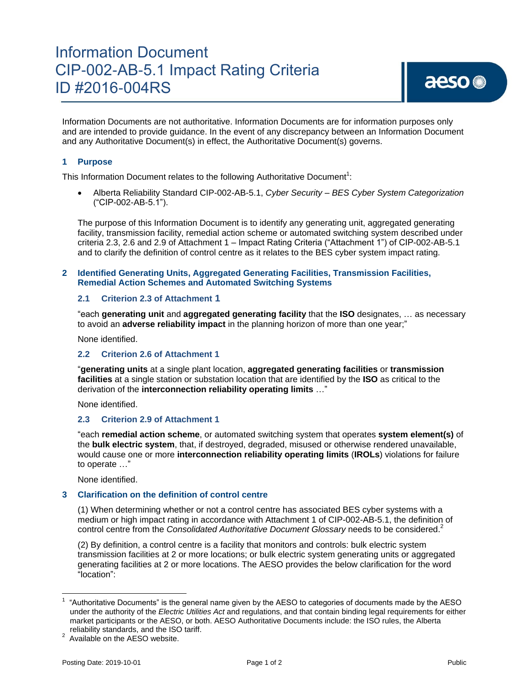# Information Document CIP-002-AB-5.1 Impact Rating Criteria ID #2016-004RS

Information Documents are not authoritative. Information Documents are for information purposes only and are intended to provide guidance. In the event of any discrepancy between an Information Document and any Authoritative Document(s) in effect, the Authoritative Document(s) governs.

### **1 Purpose**

This Information Document relates to the following Authoritative Document<sup>1</sup>:

 Alberta Reliability Standard CIP-002-AB-5.1, *Cyber Security – BES Cyber System Categorization* ("CIP-002-AB-5.1").

The purpose of this Information Document is to identify any generating unit, aggregated generating facility, transmission facility, remedial action scheme or automated switching system described under criteria 2.3, 2.6 and 2.9 of Attachment 1 – Impact Rating Criteria ("Attachment 1") of CIP-002-AB-5.1 and to clarify the definition of control centre as it relates to the BES cyber system impact rating.

#### **2 Identified Generating Units, Aggregated Generating Facilities, Transmission Facilities, Remedial Action Schemes and Automated Switching Systems**

### **2.1 Criterion 2.3 of Attachment 1**

"each **generating unit** and **aggregated generating facility** that the **ISO** designates, … as necessary to avoid an **adverse reliability impact** in the planning horizon of more than one year;"

None identified.

### **2.2 Criterion 2.6 of Attachment 1**

"**generating units** at a single plant location, **aggregated generating facilities** or **transmission facilities** at a single station or substation location that are identified by the **ISO** as critical to the derivation of the **interconnection reliability operating limits** …"

None identified.

### **2.3 Criterion 2.9 of Attachment 1**

"each **remedial action scheme**, or automated switching system that operates **system element(s)** of the **bulk electric system**, that, if destroyed, degraded, misused or otherwise rendered unavailable, would cause one or more **interconnection reliability operating limits** (**IROLs**) violations for failure to operate …"

None identified.

### **3 Clarification on the definition of control centre**

(1) When determining whether or not a control centre has associated BES cyber systems with a medium or high impact rating in accordance with Attachment 1 of CIP-002-AB-5.1, the definition of control centre from the *Consolidated Authoritative Document Glossary* needs to be considered.<sup>2</sup>

(2) By definition, a control centre is a facility that monitors and controls: bulk electric system transmission facilities at 2 or more locations; or bulk electric system generating units or aggregated generating facilities at 2 or more locations. The AESO provides the below clarification for the word "location":

 $\overline{\phantom{a}}$ 

<sup>1</sup> "Authoritative Documents" is the general name given by the AESO to categories of documents made by the AESO under the authority of the *Electric Utilities Act* and regulations, and that contain binding legal requirements for either market participants or the AESO, or both. AESO Authoritative Documents include: the ISO rules, the Alberta reliability standards, and the ISO tariff.

<sup>&</sup>lt;sup>2</sup> Available on the AESO website.